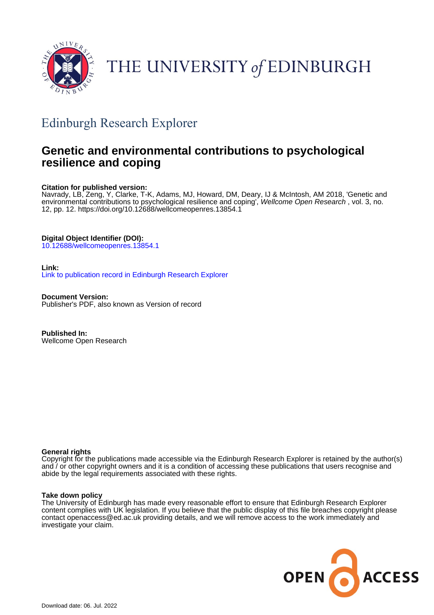

# THE UNIVERSITY of EDINBURGH

## Edinburgh Research Explorer

## **Genetic and environmental contributions to psychological resilience and coping**

## **Citation for published version:**

Navrady, LB, Zeng, Y, Clarke, T-K, Adams, MJ, Howard, DM, Deary, IJ & McIntosh, AM 2018, 'Genetic and environmental contributions to psychological resilience and coping<sup>'</sup>, Wellcome Open Research, vol. 3, no. 12, pp. 12.<https://doi.org/10.12688/wellcomeopenres.13854.1>

## **Digital Object Identifier (DOI):**

[10.12688/wellcomeopenres.13854.1](https://doi.org/10.12688/wellcomeopenres.13854.1)

## **Link:**

[Link to publication record in Edinburgh Research Explorer](https://www.research.ed.ac.uk/en/publications/dab29f1c-a20f-45d6-a938-c0dbad0195aa)

**Document Version:** Publisher's PDF, also known as Version of record

**Published In:** Wellcome Open Research

## **General rights**

Copyright for the publications made accessible via the Edinburgh Research Explorer is retained by the author(s) and / or other copyright owners and it is a condition of accessing these publications that users recognise and abide by the legal requirements associated with these rights.

## **Take down policy**

The University of Edinburgh has made every reasonable effort to ensure that Edinburgh Research Explorer content complies with UK legislation. If you believe that the public display of this file breaches copyright please contact openaccess@ed.ac.uk providing details, and we will remove access to the work immediately and investigate your claim.

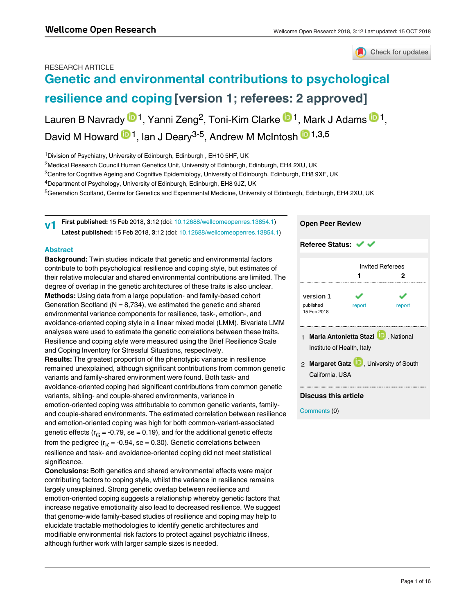## Check for updates

## RESEARCH ARTICLE **[Genetic and environmental contributions to psychological](https://wellcomeopenresearch.org/articles/3-12/v1) [resilience and coping](https://wellcomeopenresearch.org/articles/3-12/v1) [version 1; referees: 2 approved]**

Lauren B Navrady  $\mathbf{D}^1$ , Yanni Zeng<sup>2</sup>, Toni-Kim Clarke  $\mathbf{D}^1$ , Mark J Adams  $\mathbf{D}^1$ , David M Howard <sup>1</sup>, Ian J Deary<sup>3-5</sup>, Andrew M McIntosh <sup>1,3,5</sup>

<sup>1</sup>Division of Psychiatry, University of Edinburgh, Edinburgh, EH10 5HF, UK

 $^2$ Medical Research Council Human Genetics Unit, University of Edinburgh, Edinburgh, EH4 2XU, UK

<sup>3</sup>Centre for Cognitive Ageing and Cognitive Epidemiology, University of Edinburgh, Edinburgh, EH8 9XF, UK

<sup>4</sup>Department of Psychology, University of Edinburgh, Edinburgh, EH8 9JZ, UK

5Generation Scotland, Centre for Genetics and Experimental Medicine, University of Edinburgh, Edinburgh, EH4 2XU, UK

**First published:** 15 Feb 2018, **3**:12 (doi: [10.12688/wellcomeopenres.13854.1](http://dx.doi.org/10.12688/wellcomeopenres.13854.1)) **Latest published:** 15 Feb 2018, **3**:12 (doi: [10.12688/wellcomeopenres.13854.1\)](http://dx.doi.org/10.12688/wellcomeopenres.13854.1) **v1**

### **Abstract**

**Keywords** 

**Background:** Twin studies indicate that genetic and environmental factors contribute to both psychological resilience and coping style, but estimates of their relative molecular and shared environmental contributions are limited. The degree of overlap in the genetic architectures of these traits is also unclear. **Methods:** Using data from a large population- and family-based cohort Generation Scotland ( $N = 8,734$ ), we estimated the genetic and shared environmental variance components for resilience, task-, emotion-, and avoidance-oriented coping style in a linear mixed model (LMM). Bivariate LMM analyses were used to estimate the genetic correlations between these traits. Resilience and coping style were measured using the Brief Resilience Scale and Coping Inventory for Stressful Situations, respectively. **Results:** The greatest proportion of the phenotypic variance in resilience remained unexplained, although significant contributions from common genetic variants and family-shared environment were found. Both task- and avoidance-oriented coping had significant contributions from common genetic variants, sibling- and couple-shared environments, variance in emotion-oriented coping was attributable to common genetic variants, familyand couple-shared environments. The estimated correlation between resilience and emotion-oriented coping was high for both common-variant-associated genetic effects (r $_{\rm G}$  = -0.79, se = 0.19), and for the additional genetic effects from the pedigree (r<sub>K</sub> = -0.94, se = 0.30). Genetic correlations between resilience and task- and avoidance-oriented coping did not meet statistical significance.

**Conclusions:** Both genetics and shared environmental effects were major contributing factors to coping style, whilst the variance in resilience remains largely unexplained. Strong genetic overlap between resilience and emotion-oriented coping suggests a relationship whereby genetic factors that increase negative emotionality also lead to decreased resilience. We suggest that genome-wide family-based studies of resilience and coping may help to elucidate tractable methodologies to identify genetic architectures and modifiable environmental risk factors to protect against psychiatric illness, although further work with larger sample sizes is needed.



## **Discuss this article**

Comments (0)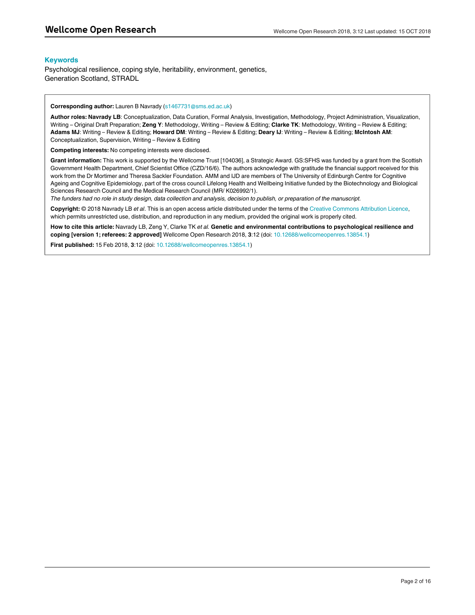#### **Keywords**

Psychological resilience, coping style, heritability, environment, genetics, Generation Scotland, STRADL

**Corresponding author:** Lauren B Navrady (s1467731@sms.ed.ac.uk)

**Author roles: Navrady LB**: Conceptualization, Data Curation, Formal Analysis, Investigation, Methodology, Project Administration, Visualization, Writing – Original Draft Preparation; **Zeng Y**: Methodology, Writing – Review & Editing; **Clarke TK**: Methodology, Writing – Review & Editing; **Adams MJ**: Writing – Review & Editing; **Howard DM**: Writing – Review & Editing; **Deary IJ**: Writing – Review & Editing; **McIntosh AM**: Conceptualization, Supervision, Writing – Review & Editing

**Competing interests:** No competing interests were disclosed.

**Grant information:** This work is supported by the Wellcome Trust [104036], a Strategic Award. GS:SFHS was funded by a grant from the Scottish Government Health Department, Chief Scientist Office (CZD/16/6). The authors acknowledge with gratitude the financial support received for this work from the Dr Mortimer and Theresa Sackler Foundation. AMM and IJD are members of The University of Edinburgh Centre for Cognitive Ageing and Cognitive Epidemiology, part of the cross council Lifelong Health and Wellbeing Initiative funded by the Biotechnology and Biological Sciences Research Council and the Medical Research Council (MR/ K026992/1).

*The funders had no role in study design, data collection and analysis, decision to publish, or preparation of the manuscript.*

**Copyright:** © 2018 Navrady LB *et al*. This is an open access article distributed under the terms of the [Creative Commons Attribution Licence](http://creativecommons.org/licenses/by/4.0/), which permits unrestricted use, distribution, and reproduction in any medium, provided the original work is properly cited.

**How to cite this article:** Navrady LB, Zeng Y, Clarke TK *et al.* **Genetic and environmental contributions to psychological resilience and coping [version 1; referees: 2 approved]** Wellcome Open Research 2018, **3**:12 (doi: [10.12688/wellcomeopenres.13854.1\)](http://dx.doi.org/10.12688/wellcomeopenres.13854.1)

**First published:** 15 Feb 2018, **3**:12 (doi: [10.12688/wellcomeopenres.13854.1\)](http://dx.doi.org/10.12688/wellcomeopenres.13854.1)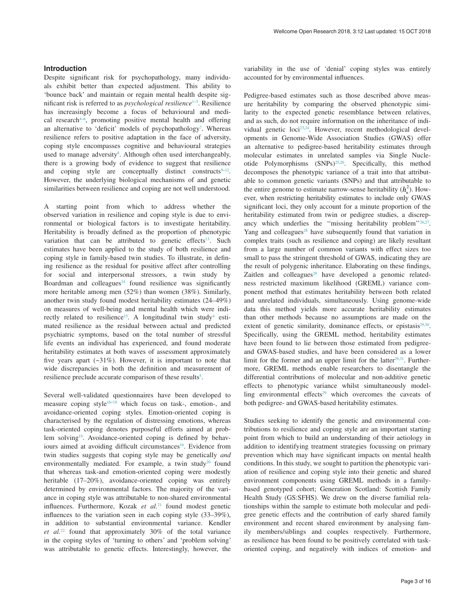### **Introduction**

Despite significant risk for psychopathology, many individuals exhibit better than expected adjustment. This ability to 'bounce back' and maintain or regain mental health despite significant risk is referred to as *psychological resilience*<sup>1-3</sup>. Resilience has increasingly become a focus of behavioural and medical research<sup>4-6</sup>, promoting positive mental health and offering an alternative to 'deficit' models of psychopathology<sup>7</sup>. Whereas resilience refers to positive adaptation in the face of adversity, coping style encompasses cognitive and behavioural strategies used to manage adversity<sup>8</sup>. Although often used interchangeably, there is a growing body of evidence to suggest that resilience and coping style are conceptually distinct constructs $9-12$ . However, the underlying biological mechanisms of and genetic similarities between resilience and coping are not well understood.

A starting point from which to address whether the observed variation in resilience and coping style is due to environmental or biological factors is to investigate heritability. Heritability is broadly defined as the proportion of phenotypic variation that can be attributed to genetic effects<sup>[13](#page-10-0)</sup>. Such estimates have been applied to the study of both resilience and coping style in family-based twin studies. To illustrate, in defining resilience as the residual for positive affect after controlling for social and interpersonal stressors, a twin study by Boardman and colleagues $14$  found resilience was significantly more heritable among men (52%) than women (38%). Similarly, another twin study found modest heritability estimates (24–49%) on measures of well-being and mental health which were indirectly related to resilience<sup>15</sup>. A longitudinal twin study<sup>4</sup> estimated resilience as the residual between actual and predicted psychiatric symptoms, based on the total number of stressful life events an individual has experienced, and found moderate heritability estimates at both waves of assessment approximately five years apart  $(-31\%)$ . However, it is important to note that wide discrepancies in both the definition and measurement of resilience preclude accurate comparison of these results<sup>5</sup>.

Several well-validated questionnaires have been developed to measure coping style $16-18$  which focus on task-, emotion-, and avoidance-oriented coping styles. Emotion-oriented coping is characterised by the regulation of distressing emotions, whereas task-oriented coping denotes purposeful efforts aimed at problem solvin[g19.](#page-10-0) Avoidance-oriented coping is defined by behav-iours aimed at avoiding difficult circumstances<sup>[16](#page-10-0)</sup>. Evidence from twin studies suggests that coping style may be genetically *and* environmentally mediated. For example, a twin study<sup>20</sup> found that whereas task-and emotion-oriented coping were modestly heritable (17–20%), avoidance-oriented coping was entirely determined by environmental factors. The majority of the variance in coping style was attributable to non-shared environmental influences. Furthermore, Kozak *et al.*<sup>[21](#page-10-0)</sup> found modest genetic influences to the variation seen in each coping style (33–39%), in addition to substantial environmental variance. Kendler *et al.*[22](#page-10-0) found that approximately 30% of the total variance in the coping styles of 'turning to others' and 'problem solving' was attributable to genetic effects. Interestingly, however, the

variability in the use of 'denial' coping styles was entirely accounted for by environmental influences.

Pedigree-based estimates such as those described above measure heritability by comparing the observed phenotypic similarity to the expected genetic resemblance between relatives, and as such, do not require information on the inheritance of individual genetic loci<sup>23,24</sup>. However, recent methodological developments in Genome-Wide Association Studies (GWAS) offer an alternative to pedigree-based heritability estimates through molecular estimates in unrelated samples via Single Nucleotide Polymorphisms  $(SNPs)^{25,26}$ . Specifically, this method decomposes the phenotypic variance of a trait into that attributable to common genetic variants (SNPs) and that attributable to the entire genome to estimate narrow-sense heritability  $(h_n^2)$ . However, when restricting heritability estimates to include only GWAS significant loci, they only account for a minute proportion of the heritability estimated from twin or pedigree studies, a discrep-ancy which underlies the "missing heritability problem"<sup>[26,27](#page-10-0)</sup>. Yang and colleagues $28$  have subsequently found that variation in complex traits (such as resilience and coping) are likely resultant from a large number of common variants with effect sizes too small to pass the stringent threshold of GWAS, indicating they are the result of polygenic inheritance. Elaborating on these findings, Zaitlen and colleagues<sup>29</sup> have developed a genomic relatedness restricted maximum likelihood (GREML) variance component method that estimates heritability between both related and unrelated individuals, simultaneously. Using genome-wide data this method yields more accurate heritability estimates than other methods because no assumptions are made on the extent of genetic similarity, dominance effects, or epistasis $29,30$ . Specifically, using the GREML method, heritability estimates have been found to lie between those estimated from pedigreeand GWAS-based studies, and have been considered as a lower limit for the former and an upper limit for the latter $29,31$ . Furthermore, GREML methods enable researchers to disentangle the differential contributions of molecular and non-additive genetic effects to phenotypic variance whilst simultaneously modelling environmental effects<sup>29</sup> which overcomes the caveats of both pedigree- and GWAS-based heritability estimates.

Studies seeking to identify the genetic and environmental contributions to resilience and coping style are an important starting point from which to build an understanding of their aetiology in addition to identifying treatment strategies focussing on primary prevention which may have significant impacts on mental health conditions. In this study, we sought to partition the phenotypic variation of resilience and coping style into their genetic and shared environment components using GREML methods in a familybased genotyped cohort; Generation Scotland: Scottish Family Health Study (GS:SFHS). We drew on the diverse familial relationships within the sample to estimate both molecular and pedigree genetic effects and the contribution of early shared family environment and recent shared environment by analysing family members/siblings and couples respectively. Furthermore, as resilience has been found to be positively correlated with taskoriented coping, and negatively with indices of emotion- and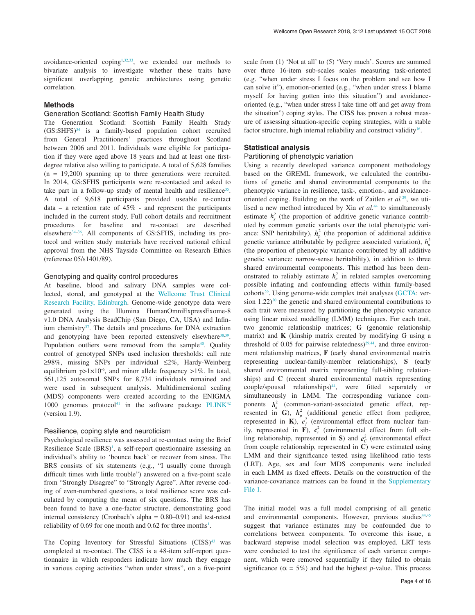avoidance-oriented coping<sup>1,32,33</sup>, we extended our methods to bivariate analysis to investigate whether these traits have significant overlapping genetic architectures using genetic correlation.

#### **Methods**

#### Generation Scotland: Scottish Family Health Study

The Generation Scotland: Scottish Family Health Study  $(GS:SHFS)<sup>34</sup>$  is a family-based population cohort recruited from General Practitioners' practices throughout Scotland between 2006 and 2011. Individuals were eligible for participation if they were aged above 18 years and had at least one firstdegree relative also willing to participate. A total of 5,628 families (n = 19,200) spanning up to three generations were recruited. In 2014, GS:SFHS participants were re-contacted and asked to take part in a follow-up study of mental health and resilience<sup>35</sup>. A total of 9,618 participants provided useable re-contact data – a retention rate of  $45\%$  - and represent the participants included in the current study. Full cohort details and recruitment procedures for baseline and re-contact are described elsewhere<sup>34–36</sup>. All components of GS:SFHS, including its protocol and written study materials have received national ethical approval from the NHS Tayside Committee on Research Ethics (reference 05/s1401/89).

#### Genotyping and quality control procedures

At baseline, blood and salivary DNA samples were collected, stored, and genotyped at the [Wellcome Trust Clinical](https://www.wtcrf.ed.ac.uk/)  [Research Facility, Edinburgh.](https://www.wtcrf.ed.ac.uk/) Genome-wide genotype data were generated using the Illumina HumanOmniExpressExome-8 v1.0 DNA Analysis BeadChip (San Diego, CA, USA) and Infin-ium chemistry<sup>[37](#page-10-0)</sup>. The details and procedures for DNA extraction and genotyping have been reported extensively elsewhere<sup>[38,39](#page-10-0)</sup>. Population outliers were removed from the sample<sup>40</sup>. Quality control of genotyped SNPs used inclusion thresholds: call rate ≥98%, missing SNPs per individual ≤2%, Hardy-Weinberg equilibrium  $p>1\times10^{-6}$ , and minor allele frequency  $>1\%$ . In total, 561,125 autosomal SNPs for 8,734 individuals remained and were used in subsequent analysis. Multidimensional scaling (MDS) components were created according to the ENIGMA 1000 genomes protocol<sup>41</sup> in the software package  $PLINK^{42}$  $PLINK^{42}$  $PLINK^{42}$  $PLINK^{42}$ (version 1.9).

#### Resilience, coping style and neuroticism

Psychological resilience was assessed at re-contact using the Brief Resilience Scale  $(BRS)^1$  $(BRS)^1$ , a self-report questionnaire assessing an individual's ability to 'bounce back' or recover from stress. The BRS consists of six statements (e.g., "I usually come through difficult times with little trouble") answered on a five-point scale from "Strongly Disagree" to "Strongly Agree". After reverse coding of even-numbered questions, a total resilience score was calculated by computing the mean of six questions. The BRS has been found to have a one-factor structure, demonstrating good internal consistency (Cronbach's alpha = 0.80–0.91) and test-retest reliability of  $0.69$  for one month and  $0.62$  for three months<sup>[1](#page-10-0)</sup>.

The Coping Inventory for Stressful Situations  $(CISS)^{43}$  was completed at re-contact. The CISS is a 48-item self-report questionnaire in which responders indicate how much they engage in various coping activities "when under stress", on a five-point scale from (1) 'Not at all' to (5) 'Very much'. Scores are summed over three 16-item sub-scales scales measuring task-oriented (e.g. "when under stress I focus on the problem and see how I can solve it"), emotion-oriented (e.g., "when under stress I blame myself for having gotten into this situation") and avoidanceoriented (e.g., "when under stress I take time off and get away from the situation") coping styles. The CISS has proven a robust measure of assessing situation-specific coping strategies, with a stable factor structure, high internal reliability and construct validity<sup>[16](#page-10-0)</sup>.

#### **Statistical analysis**

#### Partitioning of phenotypic variation

Using a recently developed variance component methodology based on the GREML framework, we calculated the contributions of genetic and shared environmental components to the phenotypic variance in resilience, task-, emotion-, and avoidanceoriented coping. Building on the work of Zaitlen *et al.*[29,](#page-10-0) we utilised a new method introduced by Xia *et al.*[44](#page-10-0) to simultaneously estimate  $h_{g}^{2}$  (the proportion of additive genetic variance contributed by common genetic variants over the total phenotypic variance: SNP heritability),  $h_p^2$  (the proportion of additional additive genetic variance attributable by pedigree associated variation),  $h_n^2$ (the proportion of phenotypic variance contributed by all additive genetic variance: narrow-sense heritability), in addition to three shared environmental components. This method has been demonstrated to reliably estimate  $h_n^2$  in related samples overcoming possible inflating and confounding effects within family-based cohorts<sup>29</sup>. Using genome-wide complex trait analyses ([GCTA](http://cnsgenomics.com/software/gcta/#Overview): version  $1.22$ <sup>30</sup> the genetic and shared environmental contributions to each trait were measured by partitioning the phenotypic variance using linear mixed modelling (LMM) techniques. For each trait, two genomic relationship matrices; **G** (genomic relationship matrix) and **K** (kinship matrix created by modifying G using a threshold of 0.05 for pairwise relatedness)<sup>29,44</sup>, and three environment relationship matrices, **F** (early shared environmental matrix representing nuclear-family-member relationships), **S** (early shared environmental matrix representing full-sibling relationships) and **C** (recent shared environmental matrix representing  $couple/spousal$  relationships) $44$ , were fitted separately or simultaneously in LMM. The corresponding variance components  $h_g^2$  (common-variant-associated genetic effect, represented in **G**),  $h_p^2$  (additional genetic effect from pedigree, represented in **K**),  $e_f^2$  (environmental effect from nuclear family, represented in  $\vec{F}$ ),  $e_s^2$  (environmental effect from full sibling relationship, represented in **S**) and  $e_c^2$  (environmental effect from couple relationship, represented in **C**) were estimated using LMM and their significance tested using likelihood ratio tests (LRT). Age, sex and four MDS components were included in each LMM as fixed effects. Details on the construction of the variance-covariance matrices can be found in the [Supplementary](#page-9-0)  [File 1](#page-9-0).

The initial model was a full model comprising of all genetic and environmental components. However, previous studies<sup>[44,45](#page-10-0)</sup> suggest that variance estimates may be confounded due to correlations between components. To overcome this issue, a backward stepwise model selection was employed. LRT tests were conducted to test the significance of each variance component, which were removed sequentially if they failed to obtain significance ( $\alpha = 5\%$ ) and had the highest *p*-value. This process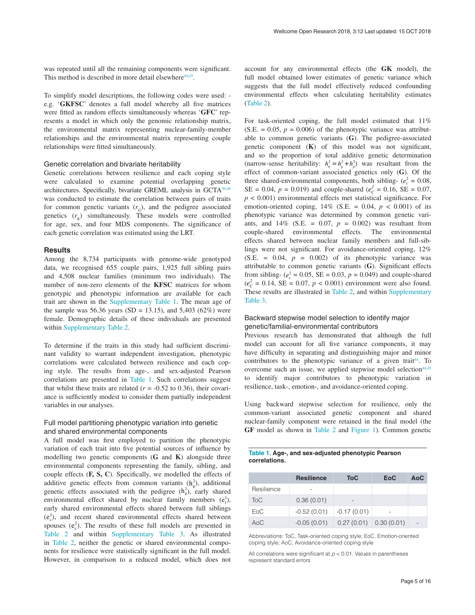was repeated until all the remaining components were significant. This method is described in more detail elsewhere<sup>44,45</sup>.

To simplify model descriptions, the following codes were used: e.g. '**GKFSC**' denotes a full model whereby all five matrices were fitted as random effects simultaneously whereas '**GFC**' represents a model in which only the genomic relationship matrix, the environmental matrix representing nuclear-family-member relationships and the environmental matrix representing couple relationships were fitted simultaneously.

#### Genetic correlation and bivariate heritability

Genetic correlations between resilience and each coping style were calculated to examine potential overlapping genetic architectures. Specifically, bivariate GREML analysis in GCTA[30](#page-10-0)[,46](#page-11-0) was conducted to estimate the correlation between pairs of traits for common genetic variants  $(r<sub>c</sub>)$ , and the pedigree associated genetics  $(r<sub>k</sub>)$  simultaneously. These models were controlled for age, sex, and four MDS components. The significance of each genetic correlation was estimated using the LRT.

#### **Results**

Among the 8,734 participants with genome-wide genotyped data, we recognised 655 couple pairs, 1,925 full sibling pairs and 4,508 nuclear families (minimum two individuals). The number of non-zero elements of the **KFSC** matrices for whom genotypic and phenotypic information are available for each trait are shown in the [Supplementary Table 1.](#page-9-0) The mean age of the sample was 56.36 years (SD = 13.15), and 5,403 (62%) were female. Demographic details of these individuals are presented within [Supplementary Table 2](#page-9-0).

To determine if the traits in this study had sufficient discriminant validity to warrant independent investigation, phenotypic correlations were calculated between resilience and each coping style. The results from age-, and sex-adjusted Pearson correlations are presented in Table 1. Such correlations suggest that whilst these traits are related  $(r = -0.52 \text{ to } 0.36)$ , their covariance is sufficiently modest to consider them partially independent variables in our analyses.

### Full model partitioning phenotypic variation into genetic and shared environmental components

A full model was first employed to partition the phenotypic variation of each trait into five potential sources of influence by modelling two genetic components (**G** and **K**) alongside three environmental components representing the family, sibling, and couple effects (**F, S, C**). Specifically, we modelled the effects of additive genetic effects from common variants  $(h_g^2)$ , additional genetic effects associated with the pedigree  $(h_p^2)$ , early shared environmental effect shared by nuclear family members  $(e_i^2)$ , early shared environmental effects shared between full siblings  $(e_s^2)$ , and recent shared environmental effects shared between spouses  $(e_c^2)$ . The results of these full models are presented in [Table 2](#page-6-0) and within [Supplementary Table 3](#page-7-0). As illustrated in [Table 2,](#page-6-0) neither the genetic or shared environmental components for resilience were statistically significant in the full model. However, in comparison to a reduced model, which does not

account for any environmental effects (the **GK** model), the full model obtained lower estimates of genetic variance which suggests that the full model effectively reduced confounding environmental effects when calculating heritability estimates [\(Table 2\)](#page-6-0).

For task-oriented coping, the full model estimated that 11%  $(S.E. = 0.05, p = 0.006)$  of the phenotypic variance was attributable to common genetic variants (**G**). The pedigree-associated genetic component (**K**) of this model was not significant, and so the proportion of total additive genetic determination (narrow-sense heritability:  $h_n^2 = h_g^2 + h_p^2$ ) was resultant from the effect of common-variant associated genetics only (**G**). Of the three shared-environmental components, both sibling-  $(e_s^2 = 0.08$ ,  $SE = 0.04$ ,  $p = 0.019$ ) and couple-shared ( $e_C^2 = 0.16$ ,  $SE = 0.07$ ,  $p < 0.001$ ) environmental effects met statistical significance. For emotion-oriented coping,  $14\%$  (S.E. = 0.04,  $p < 0.001$ ) of its phenotypic variance was determined by common genetic variants, and  $14\%$  (S.E. = 0.07,  $p = 0.002$ ) was resultant from couple-shared environmental effects. The environmental effects shared between nuclear family members and full-siblings were not significant. For avoidance-oriented coping, 12%  $(S.E. = 0.04, p = 0.002)$  of its phenotypic variance was attributable to common genetic variants (**G**). Significant effects from sibling- ( $e_s^2 = 0.05$ , SE = 0.03,  $p = 0.049$ ) and couple-shared  $(e_c^2 = 0.14, \text{ SE} = 0.07, p < 0.001)$  environment were also found. These results are illustrated in [Table 2](#page-6-0), and within [Supplementary](#page-9-0) [Table 3.](#page-9-0)

#### Backward stepwise model selection to identify major genetic/familial-environmental contributors

Previous research has demonstrated that although the full model can account for all five variance components, it may have difficulty in separating and distinguishing major and minor contributors to the phenotypic variance of a given trait<sup>44</sup>. To overcome such an issue, we applied stepwise model selection<sup>44,45</sup> to identify major contributors to phenotypic variation in resilience, task-, emotion-, and avoidance-oriented coping.

Using backward stepwise selection for resilience, only the common-variant associated genetic component and shared nuclear-family component were retained in the final model (the **GF** model as shown in [Table 2](#page-6-0) and [Figure 1](#page-6-0)). Common genetic

#### **Table 1. Age-, and sex-adjusted phenotypic Pearson correlations.**

|            | <b>Resilience</b> | <b>ToC</b>    | <b>EoC</b> | AoC            |
|------------|-------------------|---------------|------------|----------------|
| Resilience |                   |               |            |                |
| <b>ToC</b> | 0.36(0.01)        |               |            |                |
| EoC        | $-0.52(0.01)$     | $-0.17(0.01)$ |            |                |
| AoC        | $-0.05(0.01)$     | 0.27(0.01)    | 0.30(0.01) | $\overline{a}$ |

Abbreviations: ToC, Task-oriented coping style; EoC, Emotion-oriented coping style; AoC, Avoidance-oriented coping style

All correlations were significant at *p* < 0.01. Values in parentheses represent standard errors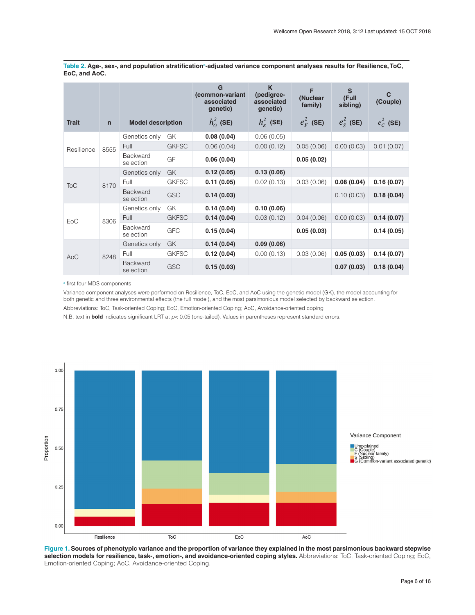|              |              |                              |              | G<br>(common-variant<br>associated<br>genetic) | K<br>(pedigree-<br>associated<br>genetic) | F<br>(Nuclear<br>family) | S<br>(Full<br>sibling) | C<br>(Couple) |
|--------------|--------------|------------------------------|--------------|------------------------------------------------|-------------------------------------------|--------------------------|------------------------|---------------|
| <b>Trait</b> | $\mathsf{n}$ | <b>Model description</b>     |              | $h_G^2$ (SE)                                   | $h_{\kappa}^2$ (SE)                       | $e_F^2$ (SE)             | $e_S^2$ (SE)           | $e_C^2$ (SE)  |
| Resilience   | 8555         | Genetics only                | GK           | 0.08(0.04)                                     | 0.06(0.05)                                |                          |                        |               |
|              |              | Full                         | <b>GKFSC</b> | 0.06(0.04)                                     | 0.00(0.12)                                | 0.05(0.06)               | 0.00(0.03)             | 0.01(0.07)    |
|              |              | Backward<br>selection        | GF           | 0.06(0.04)                                     |                                           | 0.05(0.02)               |                        |               |
| <b>ToC</b>   |              | Genetics only                | GK           | 0.12(0.05)                                     | 0.13(0.06)                                |                          |                        |               |
|              | 8170         | Full                         | <b>GKFSC</b> | 0.11(0.05)                                     | 0.02(0.13)                                | 0.03(0.06)               | 0.08(0.04)             | 0.16(0.07)    |
|              |              | <b>Backward</b><br>selection | <b>GSC</b>   | 0.14(0.03)                                     |                                           |                          | 0.10(0.03)             | 0.18(0.04)    |
| EoC          | 8306         | Genetics only                | GK           | 0.14(0.04)                                     | 0.10(0.06)                                |                          |                        |               |
|              |              | Full                         | <b>GKFSC</b> | 0.14(0.04)                                     | 0.03(0.12)                                | 0.04(0.06)               | 0.00(0.03)             | 0.14(0.07)    |
|              |              | <b>Backward</b><br>selection | <b>GFC</b>   | 0.15(0.04)                                     |                                           | 0.05(0.03)               |                        | 0.14(0.05)    |
| AoC          | 8248         | Genetics only                | <b>GK</b>    | 0.14(0.04)                                     | 0.09(0.06)                                |                          |                        |               |
|              |              | Full                         | <b>GKFSC</b> | 0.12(0.04)                                     | 0.00(0.13)                                | 0.03(0.06)               | 0.05(0.03)             | 0.14(0.07)    |
|              |              | <b>Backward</b><br>selection | <b>GSC</b>   | 0.15(0.03)                                     |                                           |                          | 0.07(0.03)             | 0.18(0.04)    |

<span id="page-6-0"></span>Table 2. Age-, sex-, and population stratification<sup>a</sup>-adjusted variance component analyses results for Resilience, ToC, **EoC, and AoC.**

a first four MDS components

Variance component analyses were performed on Resilience, ToC, EoC, and AoC using the genetic model (GK), the model accounting for both genetic and three environmental effects (the full model), and the most parsimonious model selected by backward selection.

Abbreviations: ToC, Task-oriented Coping; EoC, Emotion-oriented Coping; AoC, Avoidance-oriented coping

N.B. text in **bold** indicates significant LRT at *p*< 0.05 (one-tailed). Values in parentheses represent standard errors.



**Figure 1. Sources of phenotypic variance and the proportion of variance they explained in the most parsimonious backward stepwise selection models for resilience, task-, emotion-, and avoidance-oriented coping styles.** Abbreviations: ToC, Task-oriented Coping; EoC, Emotion-oriented Coping; AoC, Avoidance-oriented Coping.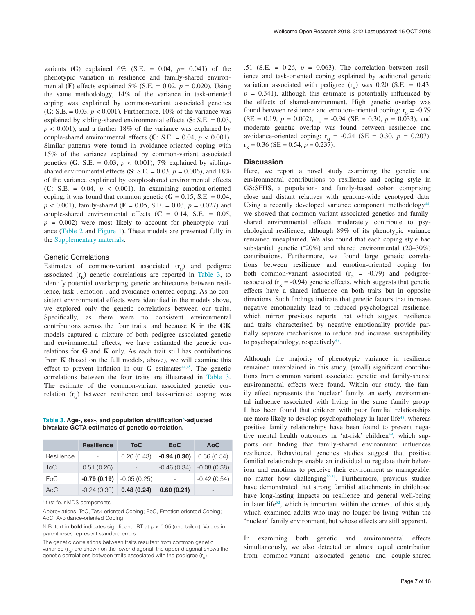<span id="page-7-0"></span>variants (G) explained  $6\%$  (S.E. = 0.04,  $p=$  0.041) of the phenotypic variation in resilience and family-shared environmental (**F**) effects explained 5% (S.E. = 0.02,  $p = 0.020$ ). Using the same methodology, 14% of the variance in task-oriented coping was explained by common-variant associated genetics (**G**: S.E. = 0.03,  $p < 0.001$ ). Furthermore, 10% of the variance was explained by sibling-shared environmental effects (**S**: S.E. = 0.03,  $p < 0.001$ ), and a further 18% of the variance was explained by couple-shared environmental effects (**C**: S.E. = 0.04, *p* < 0.001). Similar patterns were found in avoidance-oriented coping with 15% of the variance explained by common-variant associated genetics (**G**: S.E. = 0.03,  $p < 0.001$ ), 7% explained by siblingshared environmental effects (S: S.E. =  $0.03$ ,  $p = 0.006$ ), and 18% of the variance explained by couple-shared environmental effects (**C**: S.E. = 0.04, *p* < 0.001). In examining emotion-oriented coping, it was found that common genetic  $(G = 0.15, S.E. = 0.04,$ *p* < 0.001), family-shared (**F** = 0.05, S.E. = 0.03, *p* = 0.027) and couple-shared environmental effects (**C** = 0.14, S.E. = 0.05,  $p = 0.002$ ) were most likely to account for phenotypic variance [\(Table 2](#page-6-0) and [Figure 1](#page-6-0)). These models are presented fully in the [Supplementary materials.](#page-9-0)

#### Genetic Correlations

Estimates of common-variant associated  $(r<sub>c</sub>)$  and pedigree associated  $(r<sub>v</sub>)$  genetic correlations are reported in Table 3, to identify potential overlapping genetic architectures between resilience, task-, emotion-, and avoidance-oriented coping. As no consistent environmental effects were identified in the models above, we explored only the genetic correlations between our traits. Specifically, as there were no consistent environmental contributions across the four traits, and because **K** in the **GK** models captured a mixture of both pedigree associated genetic and environmental effects, we have estimated the genetic correlations for **G** and **K** only. As each trait still has contributions from **K** (based on the full models, above), we will examine this effect to prevent inflation in our G estimates<sup>44,45</sup>. The genetic correlations between the four traits are illustrated in Table 3. The estimate of the common-variant associated genetic correlation  $(r<sub>c</sub>)$  between resilience and task-oriented coping was

Table 3. Age-, sex-, and population stratification<sup>a</sup>-adjusted **bivariate GCTA estimates of genetic correlation.**

|            | <b>Resilience</b> | <b>ToC</b>    | <b>EoC</b>    | <b>AoC</b>    |
|------------|-------------------|---------------|---------------|---------------|
| Resilience |                   | 0.20(0.43)    | $-0.94(0.30)$ | 0.36(0.54)    |
| <b>ToC</b> | 0.51(0.26)        |               | $-0.46(0.34)$ | $-0.08(0.38)$ |
| EoC        | $-0.79(0.19)$     | $-0.05(0.25)$ |               | $-0.42(0.54)$ |
| AoC        | $-0.24(0.30)$     | 0.48(0.24)    | 0.60(0.21)    | -             |

a first four MDS components

Abbreviations: ToC, Task-oriented Coping; EoC, Emotion-oriented Coping; AoC, Avoidance-oriented Coping

N.B. text in **bold** indicates significant LRT at *p* < 0.05 (one-tailed). Values in parentheses represent standard errors

The genetic correlations between traits resultant from common genetic variance  $(r<sub>g</sub>)$  are shown on the lower diagonal; the upper diagonal shows the genetic correlations between traits associated with the pedigree  $(r_{k})$ 

.51 (S.E.  $= 0.26$ ,  $p = 0.063$ ). The correlation between resilience and task-oriented coping explained by additional genetic variation associated with pedigree  $(r<sub>K</sub>)$  was 0.20 (S.E. = 0.43,  $p = 0.341$ , although this estimate is potentially influenced by the effects of shared-environment. High genetic overlap was found between resilience and emotion-oriented coping:  $r_G = -0.79$ (SE = 0.19,  $p = 0.002$ ),  $r_K = -0.94$  (SE = 0.30,  $p = 0.033$ ); and moderate genetic overlap was found between resilience and avoidance-oriented coping:  $r_{G}$  = -0.24 (SE = 0.30,  $p = 0.207$ ),  $r_{K} = 0.36$  (SE = 0.54,  $p = 0.237$ ).

#### **Discussion**

Here, we report a novel study examining the genetic and environmental contributions to resilience and coping style in GS:SFHS, a population- and family-based cohort comprising close and distant relatives with genome-wide genotyped data. Using a recently developed variance component methodology<sup>[44](#page-10-0)</sup>, we showed that common variant associated genetics and familyshared environmental effects moderately contribute to psychological resilience, although 89% of its phenotypic variance remained unexplained. We also found that each coping style had substantial genetic (~ 20%) and shared environmental (20–30%) contributions. Furthermore, we found large genetic correlations between resilience and emotion-oriented coping for both common-variant associated  $(r<sub>G</sub> = -0.79)$  and pedigreeassociated ( $r<sub>K</sub>$  = -0.94) genetic effects, which suggests that genetic effects have a shared influence on both traits but in opposite directions. Such findings indicate that genetic factors that increase negative emotionality lead to reduced psychological resilience, which mirror previous reports that which suggest resilience and traits characterised by negative emotionality provide partially separate mechanisms to reduce and increase susceptibility to psychopathology, respectively<sup>47</sup>.

Although the majority of phenotypic variance in resilience remained unexplained in this study, (small) significant contributions from common variant associated genetic and family-shared environmental effects were found. Within our study, the family effect represents the 'nuclear' family, an early environmental influence associated with living in the same family group. It has been found that children with poor familial relationships are more likely to develop psychopathology in later life<sup>48</sup>, whereas positive family relationships have been found to prevent negative mental health outcomes in 'at-risk' children<sup>49</sup>, which supports our finding that family-shared environment influences resilience. Behavioural genetics studies suggest that positive familial relationships enable an individual to regulate their behaviour and emotions to perceive their environment as manageable, no matter how challenging<sup>50,51</sup>. Furthermore, previous studies have demonstrated that strong familial attachments in childhood have long-lasting impacts on resilience and general well-being in later life<sup>[52](#page-11-0)</sup>, which is important within the context of this study which examined adults who may no longer be living within the 'nuclear' family environment, but whose effects are still apparent.

In examining both genetic and environmental effects simultaneously, we also detected an almost equal contribution from common-variant associated genetic and couple-shared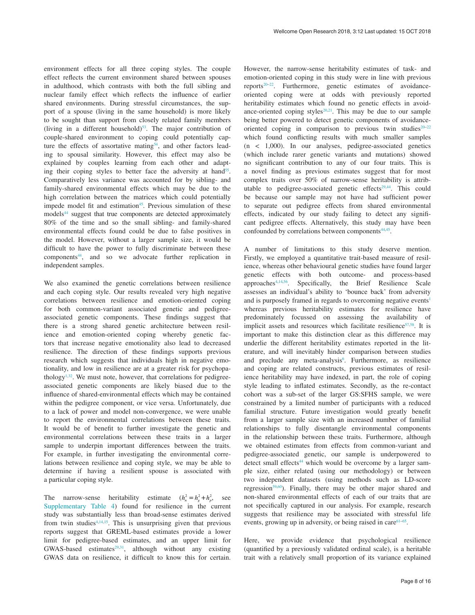environment effects for all three coping styles. The couple effect reflects the current environment shared between spouses in adulthood, which contrasts with both the full sibling and nuclear family effect which reflects the influence of earlier shared environments. During stressful circumstances, the support of a spouse (living in the same household) is more likely to be sought than support from closely related family members (living in a different household) $53$ . The major contribution of couple-shared environment to coping could potentially capture the effects of assortative mating<sup>54</sup>, and other factors leading to spousal similarity. However, this effect may also be explained by couples learning from each other and adapting their coping styles to better face the adversity at hand<sup>55</sup>. Comparatively less variance was accounted for by sibling- and family-shared environmental effects which may be due to the high correlation between the matrices which could potentially impede model fit and estimation<sup>45</sup>. Previous simulation of these models<sup>44</sup> suggest that true components are detected approximately 80% of the time and so the small sibling- and family-shared environmental effects found could be due to false positives in the model. However, without a larger sample size, it would be difficult to have the power to fully discriminate between these component[s44](#page-10-0), and so we advocate further replication in independent samples.

We also examined the genetic correlations between resilience and each coping style. Our results revealed very high negative correlations between resilience and emotion-oriented coping for both common-variant associated genetic and pedigreeassociated genetic components. These findings suggest that there is a strong shared genetic architecture between resilience and emotion-oriented coping whereby genetic factors that increase negative emotionality also lead to decreased resilience. The direction of these findings supports previous research which suggests that individuals high in negative emotionality, and low in resilience are at a greater risk for psychopathology $1,32$ . We must note, however, that correlations for pedigreeassociated genetic components are likely biased due to the influence of shared-environmental effects which may be contained within the pedigree component, or vice versa. Unfortunately, due to a lack of power and model non-convergence, we were unable to report the environmental correlations between these traits. It would be of benefit to further investigate the genetic and environmental correlations between these traits in a larger sample to underpin important differences between the traits. For example, in further investigating the environmental correlations between resilience and coping style, we may be able to determine if having a resilient spouse is associated with a particular coping style.

The narrow-sense heritability estimate  $(h_n^2 = h_g^2 + h_p^2)$ , see [Supplementary Table 4\)](#page-9-0) found for resilience in the current study was substantially less than broad-sense estimates derived from twin studies<sup> $4,14,15$  $4,14,15$  $4,14,15$ </sup>. This is unsurprising given that previous reports suggest that GREML-based estimates provide a lower limit for pedigree-based estimates, and an upper limit for GWAS-based estimates<sup>29,31</sup>, although without any existing GWAS data on resilience, it difficult to know this for certain. However, the narrow-sense heritability estimates of task- and emotion-oriented coping in this study were in line with previous reports[20–22.](#page-10-0) Furthermore, genetic estimates of avoidanceoriented coping were at odds with previously reported heritability estimates which found no genetic effects in avoidance-oriented coping styles $20,21$ . This may be due to our sample being better powered to detect genetic components of avoidanceoriented coping in comparison to previous twin studies $20-22$ which found conflicting results with much smaller samples  $(n \leq 1,000)$ . In our analyses, pedigree-associated genetics (which include rarer genetic variants and mutations) showed no significant contribution to any of our four traits. This is a novel finding as previous estimates suggest that for most complex traits over 50% of narrow-sense heritability is attributable to pedigree-associated genetic effects<sup>29,44</sup>. This could be because our sample may not have had sufficient power to separate out pedigree effects from shared environmental effects, indicated by our study failing to detect any significant pedigree effects. Alternatively, this study may have been confounded by correlations between components<sup>44,45</sup>.

A number of limitations to this study deserve mention. Firstly, we employed a quantitative trait-based measure of resilience, whereas other behavioural genetic studies have found larger genetic effects with both outcome- and process-based approache[s4,14](#page-10-0),[56.](#page-11-0) Specifically, the Brief Resilience Scale assesses an individual's ability to 'bounce back' from adversity and is purposely framed in regards to overcoming negative events<sup>[1](#page-10-0)</sup> whereas previous heritability estimates for resilience have predominately focussed on assessing the availability of implicit assets and resources which facilitate resilience<sup>57,58</sup>. It is important to make this distinction clear as this difference may underlie the different heritability estimates reported in the literature, and will inevitably hinder comparison between studies and preclude any meta-analysis<sup>6</sup>. Furthermore, as resilience and coping are related constructs, previous estimates of resilience heritability may have indexed, in part, the role of coping style leading to inflated estimates. Secondly, as the re-contact cohort was a sub-set of the larger GS:SFHS sample, we were constrained by a limited number of participants with a reduced familial structure. Future investigation would greatly benefit from a larger sample size with an increased number of familial relationships to fully disentangle environmental components in the relationship between these traits. Furthermore, although we obtained estimates from effects from common-variant and pedigree-associated genetic, our sample is underpowered to detect small effects $44$  which would be overcome by a larger sample size, either related (using our methodology) or between two independent datasets (using methods such as LD-score regression<sup>[59,60](#page-11-0)</sup>). Finally, there may be other major shared and non-shared environmental effects of each of our traits that are not specifically captured in our analysis. For example, research suggests that resilience may be associated with stressful life events, growing up in adversity, or being raised in care $61-65$ .

Here, we provide evidence that psychological resilience (quantified by a previously validated ordinal scale), is a heritable trait with a relatively small proportion of its variance explained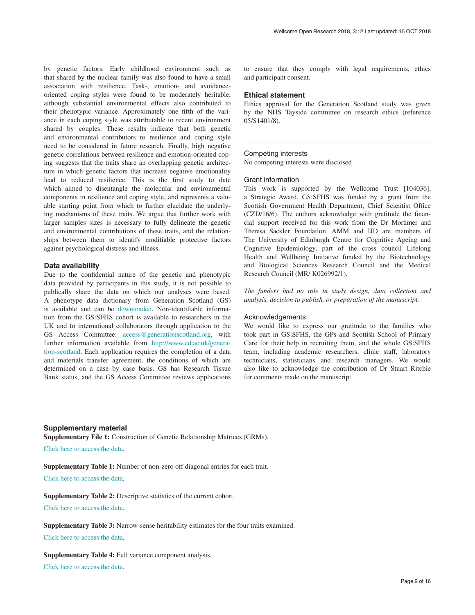<span id="page-9-0"></span>by genetic factors. Early childhood environment such as that shared by the nuclear family was also found to have a small association with resilience. Task-, emotion- and avoidanceoriented coping styles were found to be moderately heritable, although substantial environmental effects also contributed to their phenotypic variance. Approximately one fifth of the variance in each coping style was attributable to recent environment shared by couples. These results indicate that both genetic and environmental contributors to resilience and coping style need to be considered in future research. Finally, high negative genetic correlations between resilience and emotion-oriented coping suggests that the traits share an overlapping genetic architecture in which genetic factors that increase negative emotionality lead to reduced resilience. This is the first study to date which aimed to disentangle the molecular and environmental components in resilience and coping style, and represents a valuable starting point from which to further elucidate the underlying mechanisms of these traits. We argue that further work with larger samples sizes is necessary to fully delineate the genetic and environmental contributions of these traits, and the relationships between them to identify modifiable protective factors against psychological distress and illness.

#### **Data availability**

Due to the confidential nature of the genetic and phenotypic data provided by participants in this study, it is not possible to publically share the data on which our analyses were based. A phenotype data dictionary from Generation Scotland (GS) is available and can be [downloaded.](https://datashare.is.ed.ac.uk/handle/10283/2988) Non-identifiable information from the GS:SFHS cohort is available to researchers in the UK and to international collaborators through application to the GS Access Committee: [access@generationscotland.org,](mailto:access@generationscotland.org) with further information available from [http://www.ed.ac.uk/genera](http://www.ed.ac.uk/generation-scotland)[tion-scotland.](http://www.ed.ac.uk/generation-scotland) Each application requires the completion of a data and materials transfer agreement, the conditions of which are determined on a case by case basis. GS has Research Tissue Bank status, and the GS Access Committee reviews applications

to ensure that they comply with legal requirements, ethics and participant consent.

#### **Ethical statement**

Ethics approval for the Generation Scotland study was given by the NHS Tayside committee on research ethics (reference 05/S1401/8).

#### Competing interests

No competing interests were disclosed

#### Grant information

This work is supported by the Wellcome Trust [104036], a Strategic Award. GS:SFHS was funded by a grant from the Scottish Government Health Department, Chief Scientist Office (CZD/16/6). The authors acknowledge with gratitude the financial support received for this work from the Dr Mortimer and Theresa Sackler Foundation. AMM and IJD are members of The University of Edinburgh Centre for Cognitive Ageing and Cognitive Epidemiology, part of the cross council Lifelong Health and Wellbeing Initiative funded by the Biotechnology and Biological Sciences Research Council and the Medical Research Council (MR/ K026992/1).

*The funders had no role in study design, data collection and analysis, decision to publish, or preparation of the manuscript.*

#### Acknowledgements

We would like to express our gratitude to the families who took part in GS:SFHS, the GPs and Scottish School of Primary Care for their help in recruiting them, and the whole GS:SFHS team, including academic researchers, clinic staff, laboratory technicians, statisticians and research managers. We would also like to acknowledge the contribution of Dr Stuart Ritchie for comments made on the manuscript.

#### **Supplementary material**

**Supplementary File 1:** Construction of Genetic Relationship Matrices (GRMs).

[Click here to access the data](https://wellcomeopenresearch.s3.amazonaws.com/supplementary/13854/779f0eae-0974-4040-b1ac-0bb7c346a67c.pdf).

**Supplementary Table 1:** Number of non-zero off diagonal entries for each trait.

[Click here to access the data](https://wellcomeopenresearch.s3.amazonaws.com/supplementary/13854/b5643b61-1955-40a1-9d2a-84df7a522be7.pdf).

**Supplementary Table 2:** Descriptive statistics of the current cohort.

[Click here to access the data](https://wellcomeopenresearch.s3.amazonaws.com/supplementary/13854/72e17218-42e4-481a-9828-a40f905f104b.pdf).

**Supplementary Table 3:** Narrow-sense heritability estimates for the four traits examined.

[Click here to access the data](https://wellcomeopenresearch.s3.amazonaws.com/supplementary/13854/65c808b9-44c7-49ea-b1b8-4171b6de8c0d.pdf).

**Supplementary Table 4:** Full variance component analysis.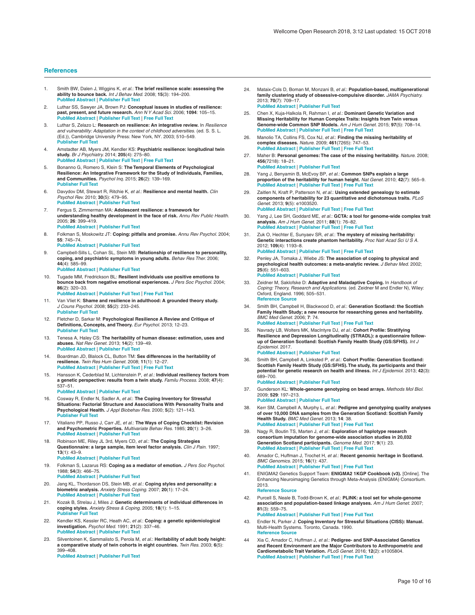#### <span id="page-10-0"></span>**References**

- 1. Smith BW, Dalen J, Wiggins K, *et al.*: **The brief resilience scale: assessing the ability to bounce back.** *Int J Behav Med.* 2008; **15**(3): 194–200. **[Publisher Full Text](http://dx.doi.org/10.1080/10705500802222972)**
- 2. Luthar SS, Sawyer JA, Brown PJ: **Conceptual issues in studies of resilience: past, present, and future research.** *Ann N Y Acad Sci.* 2006; **1094**: 105–15. **[PubMed Abstract](http://www.ncbi.nlm.nih.gov/pubmed/17347344)** | **[Publisher Full Text](http://dx.doi.org/10.1196/annals.1376.009)** | **[Free Full Text](http://www.ncbi.nlm.nih.gov/pmc/articles/3480733)**
- 3. Luthar S, Zelazo L: **Research on resilience: An integrative review.** In *Resilience and vulnerability: Adaptation in the context of childhood adversities*. (ed. S. S. L. (Ed.)), Cambridge University Press: New York, NY. 2003; 510–549. **[Publisher Full Text](http://dx.doi.org/10.1017/CBO9780511615788.023)**
- 4. Amstadter AB, Myers JM, Kendler KS: **Psychiatric resilience: longitudinal twin study.** *Br J Psychiatry.* 2014; **205**(4): 275–80. **[PubMed Abstract](http://www.ncbi.nlm.nih.gov/pubmed/24723629)** | **[Publisher Full Text](http://dx.doi.org/10.1192/bjp.bp.113.130906)** | **[Free Full Text](http://www.ncbi.nlm.nih.gov/pmc/articles/4180845)**
- 5. Bonanno G, Romero S, Klein S: **The Temporal Elements of Psychological Resilience: An Integrative Framework for the Study of Individuals, Families, and Communities.** *Psychol Inq.* 2015; **26**(2): 139–169. **[Publisher Full Text](http://dx.doi.org/10.1080/1047840X.2015.992677)**
- 6. Davydov DM, Stewart R, Ritchie K, *et al.*: **Resilience and mental health.** *Clin Psychol Rev.* 2010; **30**(5): 479–95. **[PubMed Abstract](http://www.ncbi.nlm.nih.gov/pubmed/20395025)** | **[Publisher Full Text](http://dx.doi.org/10.1016/j.cpr.2010.03.003)**
- 7. Fergus S, Zimmerman MA: **Adolescent resilience: a framework for understanding healthy development in the face of risk.** *Annu Rev Public Health.* 2005; **26**: 399–419. **[PubMed Abstract](http://www.ncbi.nlm.nih.gov/pubmed/15760295)** | **[Publisher Full Text](http://dx.doi.org/10.1146/annurev.publhealth.26.021304.144357)**
- 8. Folkman S, Moskowitz JT: **Coping: pitfalls and promise.** *Annu Rev Psychol.* 2004; **55**: 745–74.

#### **[PubMed Abstract](http://www.ncbi.nlm.nih.gov/pubmed/14744233)** | **[Publisher Full Text](http://dx.doi.org/10.1146/annurev.psych.55.090902.141456)**

9. Campbell-Sills L, Cohan SL, Stein MB: **Relationship of resilience to personality, coping, and psychiatric symptoms in young adults.** *Behav Res Ther.* 2006; **44**(4): 585–99.

#### **[PubMed Abstract](http://www.ncbi.nlm.nih.gov/pubmed/15998508)** | **[Publisher Full Text](http://dx.doi.org/10.1016/j.brat.2005.05.001)**

- 10. Tugade MM, Fredrickson BL: **Resilient individuals use positive emotions to bounce back from negative emotional experiences.** *J Pers Soc Psychol.* 2004; **86**(2): 320–33. **[PubMed Abstract](http://www.ncbi.nlm.nih.gov/pubmed/14769087)** | **[Publisher Full Text](http://dx.doi.org/10.1037/0022-3514.86.2.320)** | **[Free Full Text](http://www.ncbi.nlm.nih.gov/pmc/articles/3132556)**
- 11. Van Vliet K: **Shame and resilience in adulthood: A grounded theory study.** *J Couns Psychol.* 2008; **55**(2): 233–245. **[Publisher Full Text](http://dx.doi.org/10.1037/0022-0167.55.2.233)**
- 12. Fletcher D, Sarkar M: **Psychological Resilience A Review and Critique of Definitions, Concepts, and Theory.** *Eur Psychol.* 2013; 12–23. **[Publisher Full Text](http://dx.doi.org/10.1027/1016-9040/a000124)**
- 13. Tenesa A, Haley CS: **The heritability of human disease: estimation, uses and abuses.** *Nat Rev Genet.* 2013; **14**(2): 139–49. **[PubMed Abstract](http://www.ncbi.nlm.nih.gov/pubmed/23329114)** | **[Publisher Full Text](http://dx.doi.org/10.1038/nrg3377)**
- 14. Boardman JD, Blalock CL, Button TM: **Sex differences in the heritability of resilience.** *Twin Res Hum Genet.* 2008; **11**(1): 12–27. **[PubMed Abstract](http://www.ncbi.nlm.nih.gov/pubmed/18251671)** | **[Publisher Full Text](http://dx.doi.org/10.1375/twin.11.1.12)** | **[Free Full Text](http://www.ncbi.nlm.nih.gov/pmc/articles/2674367)**
- 15. Hansson K, Cederblad M, Lichtenstein P, *et al.*: **Individual resiliency factors from a genetic perspective: results from a twin study.** *Familu Process.* 2008; **47**(4): 537–51.

#### **[PubMed Abstract](http://www.ncbi.nlm.nih.gov/pubmed/19130792)** | **[Publisher Full Text](http://dx.doi.org/10.1111/j.1545-5300.2008.00270.x)**

- 16. Cosway R, Endler N, Sadler A, *et al.*: **The Coping Inventory for Stressful Situations: Factorial Structure and Associations With Personality Traits and Psychological Health.** *J Appl Biobehav Res.* 2000; **5**(2): 121–143. **[Publisher Full Text](http://dx.doi.org/10.1111/j.1751-9861.2000.tb00069.x)**
- 17. Vitaliano PP, Russo J, Carr JE, *et al.*: **The Ways of Coping Checklist: Revision and Psychometric Properties.** *Multivariate Behav Res.* 1985; **20**(1): 3–26. **[PubMed Abstract](http://www.ncbi.nlm.nih.gov/pubmed/26776273)** | **[Publisher Full Text](http://dx.doi.org/10.1207/s15327906mbr2001_1)**
- 18. Robinson ME, Riley JL 3rd, Myers CD, *et al.*: **The Coping Strategies Questionnaire: a large sample, item level factor analysis.** *Clin J Pain.* 1997; **13**(1): 43–9. **[PubMed Abstract](http://www.ncbi.nlm.nih.gov/pubmed/9084951)** | **[Publisher Full Text](http://dx.doi.org/10.1097/00002508-199703000-00007)**
- 19. Folkman S, Lazarus RS: **Coping as a mediator of emotion.** *J Pers Soc Psychol.* 1988; **54**(3): 466–75. **[PubMed Abstract](http://www.ncbi.nlm.nih.gov/pubmed/3361419)** | **[Publisher Full Text](http://dx.doi.org/10.1037/0022-3514.54.3.466)**
- 20. Jang KL, Thordarson DS, Stein MB, *et al.*: **Coping styles and personality: a biometric analysis.** *Anxiety Stress Coping.* 2007; **20**(1): 17–24. **[PubMed Abstract](http://www.ncbi.nlm.nih.gov/pubmed/17999212)** | **[Publisher Full Text](http://dx.doi.org/10.1080/10615800601170516)**
- 21. Kozak B, Strelau J, Miles J: **Genetic determinants of individual differences in coping styles.** *Anxiety Stress & Coping.* 2005; **18**(1): 1–15. **[Publisher Full Text](http://dx.doi.org/10.1080/10615800500040844)**
- Kendler KS, Kessler RC, Heath AC, *et al.*: **Coping: a genetic epidemiological investigation.** *Psychol Med.* 1991; **21**(2): 337–46. **[PubMed Abstract](http://www.ncbi.nlm.nih.gov/pubmed/1876639)** | **[Publisher Full Text](http://dx.doi.org/10.1017/S0033291700020444)**
- 23. Silventoinen K, Sammalisto S, Perola M, *et al.*: **Heritability of adult body height: a comparative study of twin cohorts in eight countries.** *Twin Res.* 2003; **6**(5): 399–408.

**[PubMed Abstract](http://www.ncbi.nlm.nih.gov/pubmed/14624724)** | **[Publisher Full Text](http://dx.doi.org/10.1375/136905203770326402)**

24. Mataix-Cols D, Boman M, Monzani B, *et al.*: **Population-based, multigenerational family clustering study of obsessive-compulsive disorder.** *JAMA Psychiatry.* 2013; **70**(7): 709–17.

**[PubMed Abstract](http://www.ncbi.nlm.nih.gov/pubmed/23699935)** | **[Publisher Full Text](http://dx.doi.org/10.1001/jamapsychiatry.2013.3)**

- 25. Chen X, Kuja-Halkola R, Rahman I, *et al.*: **Dominant Genetic Variation and Missing Heritability for Human Complex Traits: Insights from Twin versus Genome-wide Common SNP Models.** *Am J Hum Genet.* 2015; **97**(5): 708–14. **[PubMed Abstract](http://www.ncbi.nlm.nih.gov/pubmed/26544805)** | **[Publisher Full Text](http://dx.doi.org/10.1016/j.ajhg.2015.10.004)** | **[Free Full Text](http://www.ncbi.nlm.nih.gov/pmc/articles/4667127)**
- 26. Manolio TA, Collins FS, Cox NJ, *et al.*: **Finding the missing heritability of complex diseases.** *Nature.* 2009; **461**(7265): 747–53. **[PubMed Abstract](http://www.ncbi.nlm.nih.gov/pubmed/19812666)** | **[Publisher Full Text](http://dx.doi.org/10.1038/nature08494)** | **[Free Full Text](http://www.ncbi.nlm.nih.gov/pmc/articles/2831613)**
- 27. Maher B: **Personal genomes: The case of the missing heritability.** *Nature.* 2008; **456**(7218): 18–21. **[PubMed Abstract](http://www.ncbi.nlm.nih.gov/pubmed/18987709)** | **[Publisher Full Text](http://dx.doi.org/10.1038/456018a)**
- Yang J, Benyamin B, McEvoy BP, et al.: **Common SNPs explain a large proportion of the heritability for human height.** *Nat Genet.* 2010; **42**(7): 565–9. **[PubMed Abstract](http://www.ncbi.nlm.nih.gov/pubmed/20562875)** | **[Publisher Full Text](http://dx.doi.org/10.1038/ng.608)** | **[Free Full Text](http://www.ncbi.nlm.nih.gov/pmc/articles/3232052)**
- 29. Zaitlen N, Kraft P, Patterson N, *et al.*: **Using extended genealogy to estimate components of heritability for 23 quantitative and dichotomous traits.** *PLoS Genet.* 2013; **9**(5): e1003520. **[PubMed Abstract](http://www.ncbi.nlm.nih.gov/pubmed/23737753)** | **[Publisher Full Text](http://dx.doi.org/10.1371/journal.pgen.1003520)** | **[Free Full Text](http://www.ncbi.nlm.nih.gov/pmc/articles/3667752)**
- 30. Yang J, Lee SH, Goddard ME, *et al.*: **GCTA: a tool for genome-wide complex trait analysis.** *Am J Hum Genet.* 2011; **88**(1): 76–82. **[PubMed Abstract](http://www.ncbi.nlm.nih.gov/pubmed/21167468)** | **[Publisher Full Text](http://dx.doi.org/10.1016/j.ajhg.2010.11.011)** | **[Free Full Text](http://www.ncbi.nlm.nih.gov/pmc/articles/3014363)**
- 31. Zuk O, Hechter E, Sunyaev SR, *et al.*: **The mystery of missing heritability: Genetic interactions create phantom heritability.** *Proc Natl Acad Sci U S A.* 2012; **109**(4): 1193–8. **[PubMed Abstract](http://www.ncbi.nlm.nih.gov/pubmed/22223662)** | **[Publisher Full Text](http://dx.doi.org/10.1073/pnas.1119675109)** | **[Free Full Text](http://www.ncbi.nlm.nih.gov/pmc/articles/3268279)**
- 32. Penley JA, Tomaka J, Wiebe JS: **The association of coping to physical and psychological health outcomes: a meta-analytic review.** *J Behav Med.* 2002; **25**(6): 551–603. **[PubMed Abstract](http://www.ncbi.nlm.nih.gov/pubmed/12462958)** | **[Publisher Full Text](http://dx.doi.org/10.1023/A:1020641400589)**
- 33. Zeidner M, Saklofske D: **Adaptive and Maladaptive Coping.** In *Handbook of Coping: Theory, Research and Applications.* (ed. Zeidner M and Endler N), Wiley: Oxford, England. 1996; 505–531. **[Reference Source](http://psycnet.apa.org/record/1996-97004-022)**
- 34. Smith BH, Campbell H, Blackwood D, *et al.*: **Generation Scotland: the Scottish Family Health Study; a new resource for researching genes and heritability.** *BMC Med Genet.* 2006; **7**: 74. **[PubMed Abstract](http://www.ncbi.nlm.nih.gov/pubmed/17014726)** | **[Publisher Full Text](http://dx.doi.org/10.1186/1471-2350-7-74)** | **[Free Full Text](http://www.ncbi.nlm.nih.gov/pmc/articles/1592477)**
- 35. Navrady LB, Wolters MK, MacIntyre DJ, *et al.*: **Cohort Profile: Stratifying Resilience and Depression Longitudinally (STRADL): a questionnaire followup of Generation Scotland: Scottish Family Health Study (GS:SFHS).** *Int J Epidemiol.* 2017. **[PubMed Abstract](http://www.ncbi.nlm.nih.gov/pubmed/29040551)** | **[Publisher Full Text](http://dx.doi.org/10.1093/ije/dyx115)**
- 36. Smith BH, Campbell A, Linksted P, *et al.*: **Cohort Profile: Generation Scotland: Scottish Family Health Study (GS:SFHS). The study, its participants and their potential for genetic research on health and illness.** *Int J Epidemiol.* 2013; **42**(3): 689–700. **[PubMed Abstract](http://www.ncbi.nlm.nih.gov/pubmed/22786799)** | **[Publisher Full Text](http://dx.doi.org/10.1093/ije/dys084)**
- 37. Gunderson KL: **Whole-genome genotyping on bead arrays.** *Methods Mol Biol.* 2009; **529**: 197–213. **[PubMed Abstract](http://www.ncbi.nlm.nih.gov/pubmed/19381978)** | **[Publisher Full Text](http://dx.doi.org/10.1007/978-1-59745-538-1_13)**
- 38. Kerr SM, Campbell A, Murphy L, *et al.*: **Pedigree and genotyping quality analyses of over 10,000 DNA samples from the Generation Scotland: Scottish Family Health Study.** *BMC Med Genet.* 2013; **14**: 38. **[PubMed Abstract](http://www.ncbi.nlm.nih.gov/pubmed/23521772)** | **[Publisher Full Text](http://dx.doi.org/10.1186/1471-2350-14-38)** | **[Free Full Text](http://www.ncbi.nlm.nih.gov/pmc/articles/3614907)**
- 39. Nagy R, Boutin TS, Marten J, *et al.*: **Exploration of haplotype research consortium imputation for genome-wide association studies in 20,032 Generation Scotland participants.** *Genome Med.* 2017; **9**(1): 23. **[PubMed Abstract](http://www.ncbi.nlm.nih.gov/pubmed/28270201)** | **[Publisher Full Text](http://dx.doi.org/10.1186/s13073-017-0414-4)** | **[Free Full Text](http://www.ncbi.nlm.nih.gov/pmc/articles/5339960)**
- 40. Amador C, Huffman J, Trochet H, *et al.*: **Recent genomic heritage in Scotland.** *BMC Genomics.* 2015; **16**(1): 437. **[PubMed Abstract](http://www.ncbi.nlm.nih.gov/pubmed/26048416)** | **[Publisher Full Text](http://dx.doi.org/10.1186/s12864-015-1605-2)** | **[Free Full Text](http://www.ncbi.nlm.nih.gov/pmc/articles/4458001)**
- 41. ENIGMA2 Genetics Support Team: **ENIGMA2 1KGP Cookbook (v3).** [Online]. The Enhancing Neuroimaging Genetics through Meta-Analysis (ENIGMA) Consortium. 2013.

#### **[Reference Source](https://enigma.ini.usc.edu/wp-content/uploads/2012/07/ENIGMA2_1KGP_cookbook_v3.pdf)**

- Purcell S, Neale B, Todd-Brown K, et al.: PLINK: a tool set for whole-genome **association and population-based linkage analyses.** *Am J Hum Genet.* 2007; **81**(3): 559–75. **[PubMed Abstract](http://www.ncbi.nlm.nih.gov/pubmed/17701901)** | **[Publisher Full Text](http://dx.doi.org/10.1086/519795)** | **[Free Full Text](http://www.ncbi.nlm.nih.gov/pmc/articles/1950838)**
- 43. Endler N, Parker J: **Coping Inventory for Stressful Situations (CISS): Manual.**  Multi-Health Systems. Toronto, Canada. 1990. **[Reference Source](http://www.pearsonclinical.co.uk/Psychology/ChildMentalHealth/ChildMentalHealth/CopingInventoryforStressfulSituations(CISS)/PDFReports/Technical.pdf)**
- 44 Xia C, Amador C, Huffman J, *et al.*: **Pedigree- and SNP-Associated Genetics and Recent Environment are the Major Contributors to Anthropometric and Cardiometabolic Trait Variation.** *PLoS Genet.* 2016; **12**(2): e1005804. **[PubMed Abstract](http://www.ncbi.nlm.nih.gov/pubmed/26836320)** | **[Publisher Full Text](http://dx.doi.org/10.1371/journal.pgen.1005804)** | **[Free Full Text](http://www.ncbi.nlm.nih.gov/pmc/articles/4737500)**